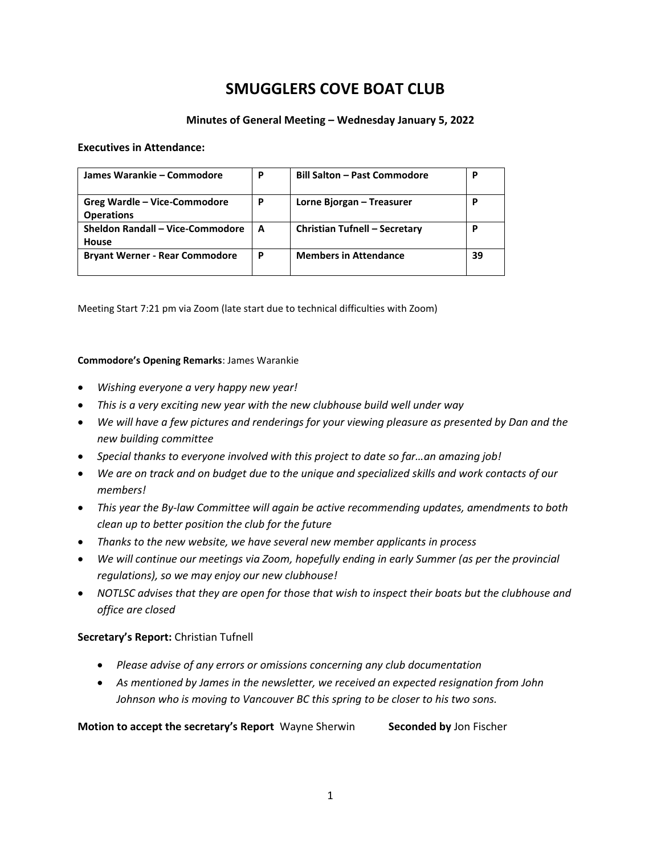# **SMUGGLERS COVE BOAT CLUB**

# **Minutes of General Meeting – Wednesday January 5, 2022**

#### **Executives in Attendance:**

| James Warankie – Commodore                        | P | <b>Bill Salton - Past Commodore</b>  | P  |
|---------------------------------------------------|---|--------------------------------------|----|
| Greg Wardle – Vice-Commodore<br><b>Operations</b> | P | Lorne Bjorgan - Treasurer            | p  |
| Sheldon Randall - Vice-Commodore<br>House         | A | <b>Christian Tufnell - Secretary</b> | P  |
| <b>Bryant Werner - Rear Commodore</b>             | P | <b>Members in Attendance</b>         | 39 |

Meeting Start 7:21 pm via Zoom (late start due to technical difficulties with Zoom)

#### **Commodore's Opening Remarks**: James Warankie

- *Wishing everyone a very happy new year!*
- *This is a very exciting new year with the new clubhouse build well under way*
- *We will have a few pictures and renderings for your viewing pleasure as presented by Dan and the new building committee*
- *Special thanks to everyone involved with this project to date so far…an amazing job!*
- *We are on track and on budget due to the unique and specialized skills and work contacts of our members!*
- *This year the By-law Committee will again be active recommending updates, amendments to both clean up to better position the club for the future*
- *Thanks to the new website, we have several new member applicants in process*
- *We will continue our meetings via Zoom, hopefully ending in early Summer (as per the provincial regulations), so we may enjoy our new clubhouse!*
- *NOTLSC advises that they are open for those that wish to inspect their boats but the clubhouse and office are closed*

# **Secretary's Report:** Christian Tufnell

- *Please advise of any errors or omissions concerning any club documentation*
- *As mentioned by James in the newsletter, we received an expected resignation from John Johnson who is moving to Vancouver BC this spring to be closer to his two sons.*

**Motion to accept the secretary's Report** Wayne Sherwin **Seconded by** Jon Fischer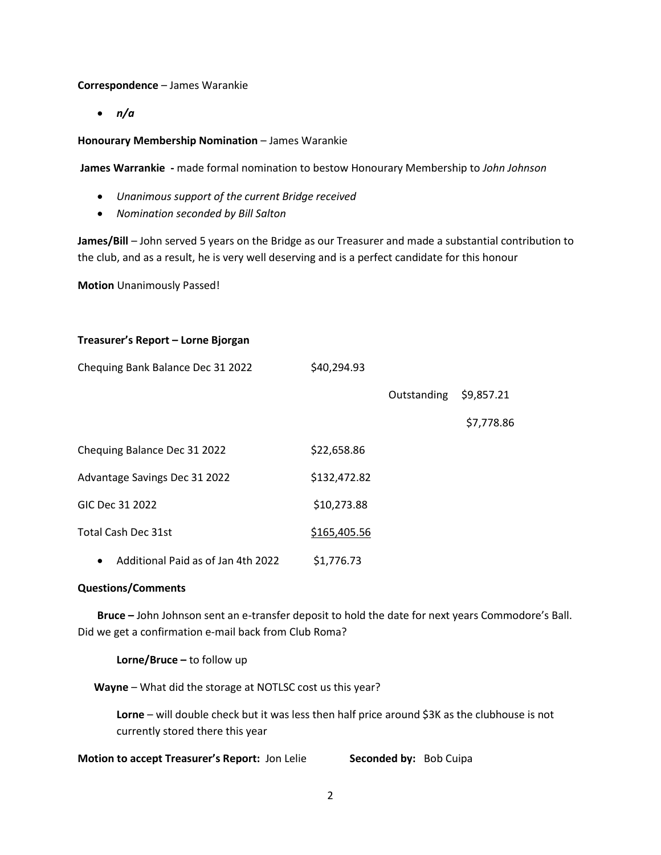#### **Correspondence** – James Warankie

• *n/a*

#### **Honourary Membership Nomination - James Warankie**

**James Warrankie -** made formal nomination to bestow Honourary Membership to *John Johnson*

- *Unanimous support of the current Bridge received*
- *Nomination seconded by Bill Salton*

**James/Bill** – John served 5 years on the Bridge as our Treasurer and made a substantial contribution to the club, and as a result, he is very well deserving and is a perfect candidate for this honour

**Motion** Unanimously Passed!

#### **Treasurer's Report – Lorne Bjorgan**

| Chequing Bank Balance Dec 31 2022       | \$40,294.93  |             |            |
|-----------------------------------------|--------------|-------------|------------|
|                                         |              | Outstanding | \$9,857.21 |
|                                         |              |             | \$7,778.86 |
| Chequing Balance Dec 31 2022            | \$22,658.86  |             |            |
| Advantage Savings Dec 31 2022           | \$132,472.82 |             |            |
| GIC Dec 31 2022                         | \$10,273.88  |             |            |
| <b>Total Cash Dec 31st</b>              | \$165,405.56 |             |            |
| Additional Paid as of Jan 4th 2022<br>٠ | \$1,776.73   |             |            |

#### **Questions/Comments**

**Bruce –** John Johnson sent an e-transfer deposit to hold the date for next years Commodore's Ball. Did we get a confirmation e-mail back from Club Roma?

**Lorne/Bruce –** to follow up

 **Wayne** – What did the storage at NOTLSC cost us this year?

**Lorne** – will double check but it was less then half price around \$3K as the clubhouse is not currently stored there this year

**Motion to accept Treasurer's Report:** Jon Lelie **Seconded by:** Bob Cuipa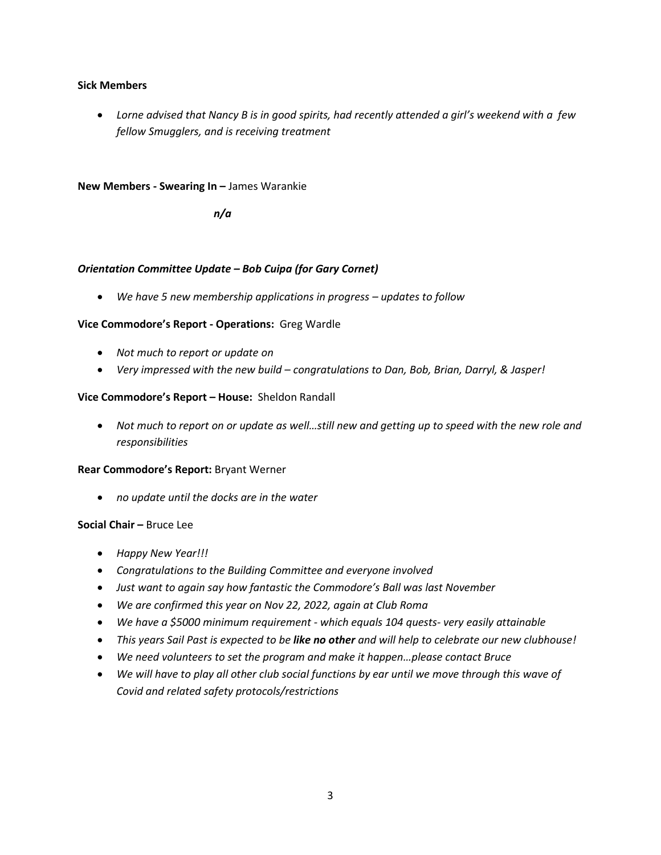# **Sick Members**

• *Lorne advised that Nancy B is in good spirits, had recently attended a girl's weekend with a few fellow Smugglers, and is receiving treatment*

#### **New Members - Swearing In –** James Warankie

*n/a*

### *Orientation Committee Update – Bob Cuipa (for Gary Cornet)*

• *We have 5 new membership applications in progress – updates to follow*

# **Vice Commodore's Report - Operations:** Greg Wardle

- *Not much to report or update on*
- *Very impressed with the new build – congratulations to Dan, Bob, Brian, Darryl, & Jasper!*

# **Vice Commodore's Report – House:** Sheldon Randall

• Not much to report on or update as well...still new and getting up to speed with the new role and *responsibilities*

#### **Rear Commodore's Report:** Bryant Werner

• *no update until the docks are in the water*

#### **Social Chair –** Bruce Lee

- *Happy New Year!!!*
- *Congratulations to the Building Committee and everyone involved*
- *Just want to again say how fantastic the Commodore's Ball was last November*
- *We are confirmed this year on Nov 22, 2022, again at Club Roma*
- *We have a \$5000 minimum requirement - which equals 104 quests- very easily attainable*
- *This years Sail Past is expected to be like no other and will help to celebrate our new clubhouse!*
- *We need volunteers to set the program and make it happen…please contact Bruce*
- *We will have to play all other club social functions by ear until we move through this wave of Covid and related safety protocols/restrictions*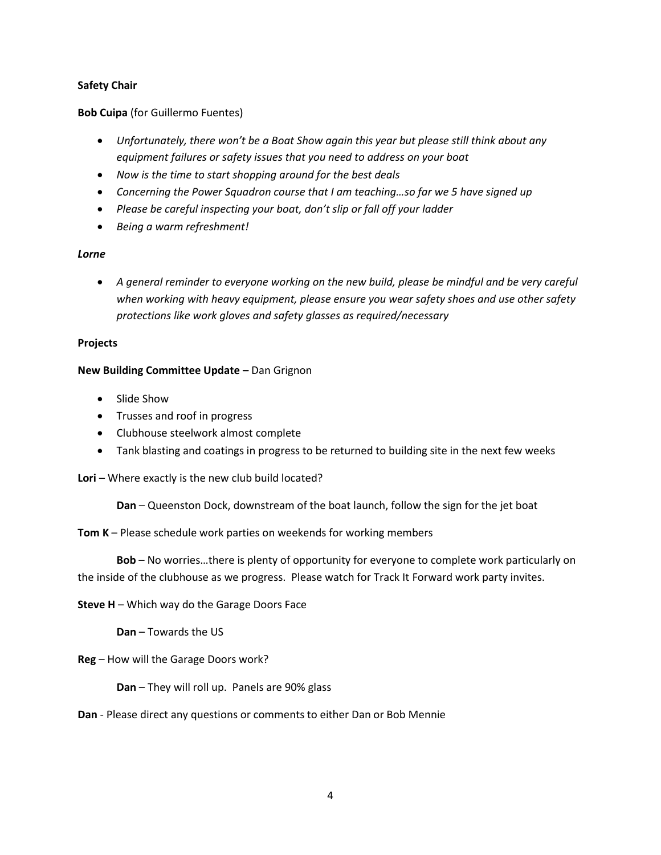# **Safety Chair**

# **Bob Cuipa** (for Guillermo Fuentes)

- *Unfortunately, there won't be a Boat Show again this year but please still think about any equipment failures or safety issues that you need to address on your boat*
- *Now is the time to start shopping around for the best deals*
- Concerning the Power Squadron course that I am teaching...so far we 5 have signed up
- *Please be careful inspecting your boat, don't slip or fall off your ladder*
- *Being a warm refreshment!*

### *Lorne*

• *A general reminder to everyone working on the new build, please be mindful and be very careful when working with heavy equipment, please ensure you wear safety shoes and use other safety protections like work gloves and safety glasses as required/necessary*

### **Projects**

### **New Building Committee Update –** Dan Grignon

- Slide Show
- Trusses and roof in progress
- Clubhouse steelwork almost complete
- Tank blasting and coatings in progress to be returned to building site in the next few weeks

# **Lori** – Where exactly is the new club build located?

**Dan** – Queenston Dock, downstream of the boat launch, follow the sign for the jet boat

# **Tom K** – Please schedule work parties on weekends for working members

**Bob** – No worries…there is plenty of opportunity for everyone to complete work particularly on the inside of the clubhouse as we progress. Please watch for Track It Forward work party invites.

# **Steve H** – Which way do the Garage Doors Face

**Dan** – Towards the US

**Reg** – How will the Garage Doors work?

# **Dan** – They will roll up. Panels are 90% glass

#### **Dan** - Please direct any questions or comments to either Dan or Bob Mennie